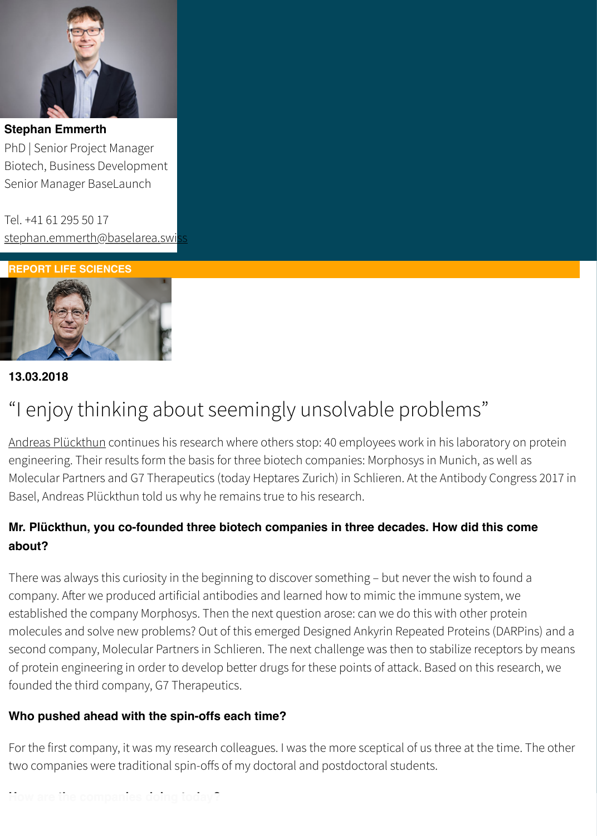Biotech, Business Development Senior Manager BaseLaunch

Tel. +41 61 295 50 17 [stephan.emmerth@baselarea.swi](https://www.baselarea.swiss/baselarea-swiss/about-baselarea-swiss/Team/stephan-emmerth.html)ss

**REPORT LIFE SCIENCES**



### **13.03.2018**

# ["I enjoy thinking abou](javascript:dcmadr()t seemingly unsolvable problems"

Andreas Plückthun continues his research where others stop: 40 employees work in his laboratory or engineering. Their results form the basis for three biotech companies: Morphosys in Munich, as well as Molecular Partners and G7 Therapeutics (today Heptares Zurich) in Schlieren. At the Antibody Congre Basel, Andreas Plückthun told us why he remains true to his research.

# Mr. Plückthun, you co-founded three biotech companies in three decades. How did this cor **about?**

There was always this curiosity in the beginning to discover something - but never the wish to found [company. A](https://www.linkedin.com/in/andreas-pl%C3%BCckthun-245b69116/?locale=en_US)fer we produced artificial antibodies and learned how to mimic the immune system, we established the company Morphosys. Then the next question arose: can we do this with other protein molecules and solve new problems? Out of this emerged Designed Ankyrin Repeated Proteins (DARF second company, Molecular Partners in Schlieren. The next challenge was then to stabilize receptors of protein engineering in order to develop better drugs for these points of attack. Based on this resea founded the third company, G7 Therapeutics.

### **Who pushed ahead with the spin-offs each time?**

For the first company, it was my research colleagues. I was the more sceptical of us three at the time. two companies were traditional spin-offs of my doctoral and postdoctoral students.

# **How are the companies doing today?**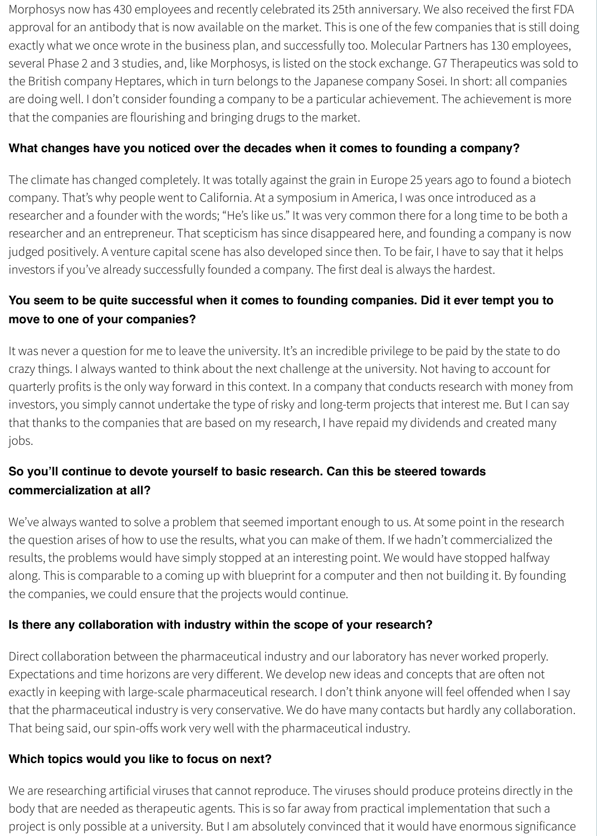Morphosys now has 430 employees and recently celebrated its 25th anniversary. We also received the first FDA approval for an antibody that is now available on the market. This is one of the few companies that is still doing exactly what we once wrote in the business plan, and successfully too. Molecular Partners has 130 employees, several Phase 2 and 3 studies, and, like Morphosys, is listed on the stock exchange. G7 Therapeutics was sold to the British company Heptares, which in turn belongs to the Japanese company Sosei. In short: all companies are doing well. I don't consider founding a company to be a particular achievement. The achievement is more that the companies are flourishing and bringing drugs to the market.

## **What changes have you noticed over the decades when it comes to founding a company?**

The climate has changed completely. It was totally against the grain in Europe 25 years ago to found a biotech company. That's why people went to California. At a symposium in America, I was once introduced as a researcher and a founder with the words; "He's like us." It was very common there for a long time to be both a researcher and an entrepreneur. That scepticism has since disappeared here, and founding a company is now judged positively. A venture capital scene has also developed since then. To be fair, I have to say that it helps investors if you've already successfully founded a company. The first deal is always the hardest.

# **You seem to be quite successful when it comes to founding companies. Did it ever tempt you to move to one of your companies?**

It was never a question for me to leave the university. It's an incredible privilege to be paid by the state to do crazy things. I always wanted to think about the next challenge at the university. Not having to account for quarterly profits is the only way forward in this context. In a company that conducts research with money from investors, you simply cannot undertake the type of risky and long-term projects that interest me. But I can say that thanks to the companies that are based on my research, I have repaid my dividends and created many jobs.

# **So you'll continue to devote yourself to basic research. Can this be steered towards commercialization at all?**

We've always wanted to solve a problem that seemed important enough to us. At some point in the research the question arises of how to use the results, what you can make of them. If we hadn't commercialized the results, the problems would have simply stopped at an interesting point. We would have stopped halfway along. This is comparable to a coming up with blueprint for a computer and then not building it. By founding the companies, we could ensure that the projects would continue.

## **Is there any collaboration with industry within the scope of your research?**

Direct collaboration between the pharmaceutical industry and our laboratory has never worked properly. Expectations and time horizons are very different. We develop new ideas and concepts that are often not exactly in keeping with large-scale pharmaceutical research. I don't think anyone will feel offended when I say that the pharmaceutical industry is very conservative. We do have many contacts but hardly any collaboration. That being said, our spin-offs work very well with the pharmaceutical industry.

## **Which topics would you like to focus on next?**

We are researching artificial viruses that cannot reproduce. The viruses should produce proteins directly in the body that are needed as therapeutic agents. This is so far away from practical implementation that such a project is only possible at a university. But I am absolutely convinced that it would have enormous significance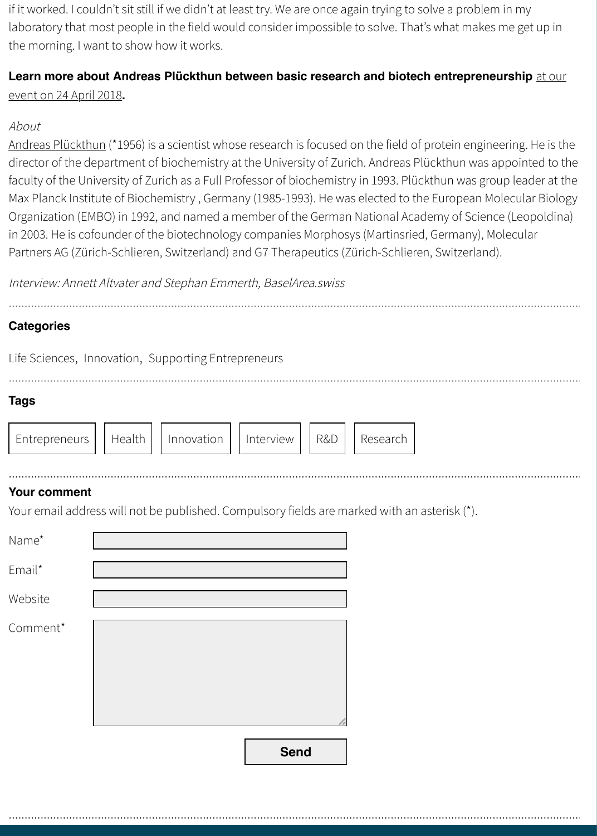director of the department of biochemistry at the University of Zurich. Andreas Plückthun was appoi faculty of the University of Zurich as a Full Professor of biochemistry in 1993. Plückthun was group leader at Max Planck Institute of Biochemistry, Germany (1985-1993). He was elected to the European Molecu Organization (EMBO) in 1992, and named a member of the German National Academy of Science (Le in 2003. He is cofounder of the biotechnology companies Morphosys (Martinsried, Germany), Molecu Partners AG (Zürich-Schlieren, Switzerland) and G7 Therapeutics (Zürich-Schlieren, Switzerland).

Interview: Annett Altvater and Stephan Emmerth, BaselArea.swiss

#### **Categories**

|  | Life Sciences, Innovation, Supporting Entrepreneurs |
|--|-----------------------------------------------------|
|  |                                                     |
|  |                                                     |

····························································································································································································································································································································

[·······························](https://www.bioc.uzh.ch/teaching/study-overview/lecturers/andreas-plueckthun/)·····························································································································································································································································································

····························································································································································································································································································································

#### **Tags**

| Entrepreneurs     Health     Innovation     Interview     R&D |  |  |  |  | Research |
|---------------------------------------------------------------|--|--|--|--|----------|
|---------------------------------------------------------------|--|--|--|--|----------|

#### **Your comment** ····························································································································································································································································································································

[Your email ad](https://www.baselarea.swiss/baselarea-swiss/channels/innovation-report.html?filter=life-sciences)[dress will no](https://www.baselarea.swiss/baselarea-swiss/channels/innovation-report.html?filter=innovation)t [be published. Compulsory](https://www.baselarea.swiss/baselarea-swiss/channels/innovation-report.html?filter=supporting-entrepreneurs) fields are marked with an asterisk (\*).

| Name*    |             |
|----------|-------------|
| Email*   |             |
| Website  |             |
| Comment* |             |
|          | <b>Send</b> |